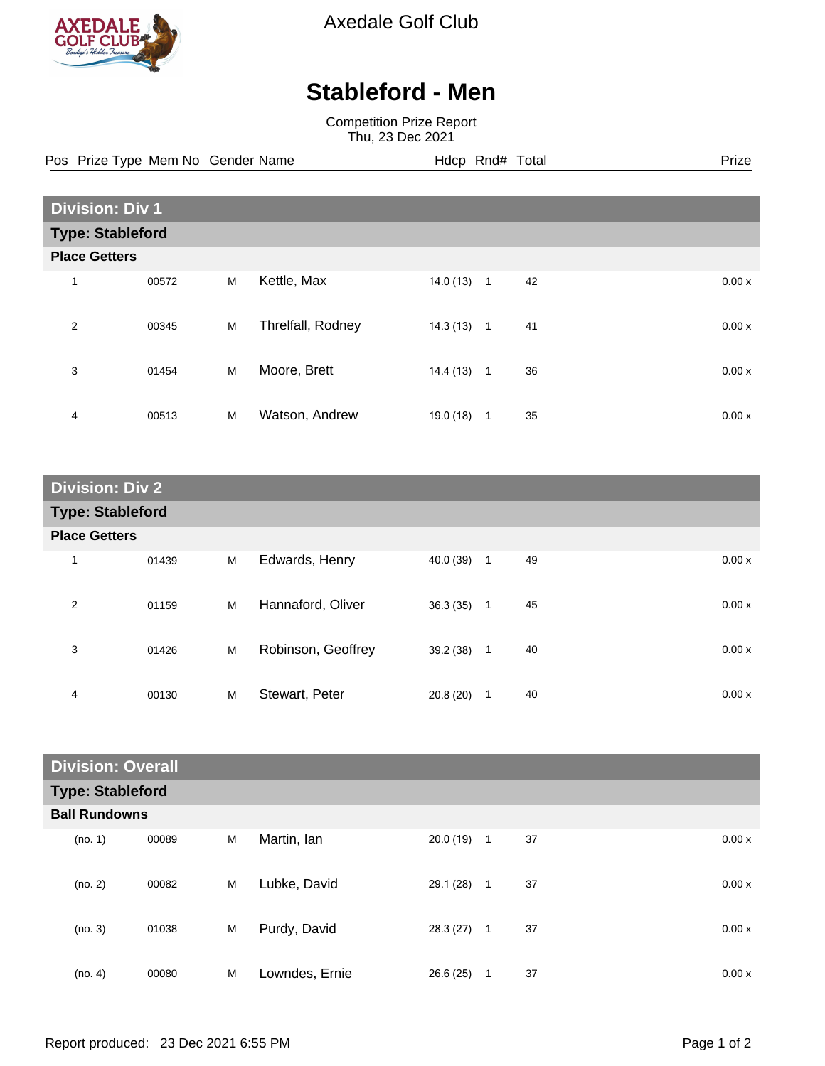

Axedale Golf Club

## **Stableford - Men**

Competition Prize Report Thu, 23 Dec 2021

Pos Prize Type Mem No Gender Name **Hdcp Rnd# Total** Prize Prize

| <b>Division: Div 1</b>  |       |   |                   |           |              |    |       |  |
|-------------------------|-------|---|-------------------|-----------|--------------|----|-------|--|
| <b>Type: Stableford</b> |       |   |                   |           |              |    |       |  |
| <b>Place Getters</b>    |       |   |                   |           |              |    |       |  |
| 1                       | 00572 | M | Kettle, Max       | 14.0(13)  | $\mathbf{1}$ | 42 | 0.00x |  |
| $\overline{2}$          | 00345 | M | Threlfall, Rodney | 14.3(13)  | $\mathbf{1}$ | 41 | 0.00x |  |
| 3                       | 01454 | M | Moore, Brett      | 14.4 (13) | $\mathbf{1}$ | 36 | 0.00x |  |
| 4                       | 00513 | M | Watson, Andrew    | 19.0(18)  | 1            | 35 | 0.00x |  |

| <b>Division: Div 2</b>  |       |   |                    |             |              |    |       |
|-------------------------|-------|---|--------------------|-------------|--------------|----|-------|
| <b>Type: Stableford</b> |       |   |                    |             |              |    |       |
| <b>Place Getters</b>    |       |   |                    |             |              |    |       |
| 1                       | 01439 | M | Edwards, Henry     | 40.0 (39) 1 |              | 49 | 0.00x |
| $\overline{2}$          | 01159 | M | Hannaford, Oliver  | 36.3(35)    | $\mathbf{1}$ | 45 | 0.00x |
| 3                       | 01426 | M | Robinson, Geoffrey | 39.2 (38)   | $\mathbf 1$  | 40 | 0.00x |
| 4                       | 00130 | M | Stewart, Peter     | 20.8(20)    | 1            | 40 | 0.00x |

| <b>Division: Overall</b> |       |   |                |           |                |    |       |
|--------------------------|-------|---|----------------|-----------|----------------|----|-------|
| <b>Type: Stableford</b>  |       |   |                |           |                |    |       |
| <b>Ball Rundowns</b>     |       |   |                |           |                |    |       |
| (no. 1)                  | 00089 | M | Martin, Ian    | 20.0 (19) | $\overline{1}$ | 37 | 0.00x |
| (no. 2)                  | 00082 | M | Lubke, David   | 29.1 (28) | $\mathbf{1}$   | 37 | 0.00x |
| (no. 3)                  | 01038 | M | Purdy, David   | 28.3 (27) | $\mathbf{1}$   | 37 | 0.00x |
| (no. 4)                  | 00080 | M | Lowndes, Ernie | 26.6(25)  | 1              | 37 | 0.00x |